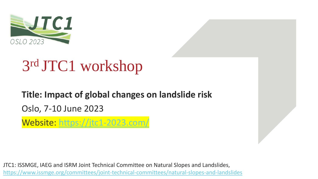

# 3 rd JTC1 workshop

### **Title: Impact of global changes on landslide risk** Oslo, 7-10 June 2023

Website: <https://jtc1-2023.com/>

JTC1: ISSMGE, IAEG and ISRM Joint Technical Committee on Natural Slopes and Landslides, <https://www.issmge.org/committees/joint-technical-committees/natural-slopes-and-landslides>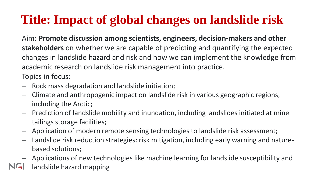### **Title: Impact of global changes on landslide risk**

Aim: **Promote discussion among scientists, engineers, decision-makers and other stakeholders** on whether we are capable of predicting and quantifying the expected changes in landslide hazard and risk and how we can implement the knowledge from academic research on landslide risk management into practice.

Topics in focus:

- − Rock mass degradation and landslide initiation;
- − Climate and anthropogenic impact on landslide risk in various geographic regions, including the Arctic;
- − Prediction of landslide mobility and inundation, including landslides initiated at mine tailings storage facilities;
- − Application of modern remote sensing technologies to landslide risk assessment;
- − Landslide risk reduction strategies: risk mitigation, including early warning and naturebased solutions;
- − Applications of new technologies like machine learning for landslide susceptibility and
- NGI landslide hazard mapping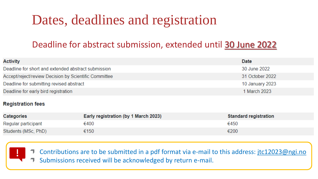## Dates, deadlines and registration

### Deadline for abstract submission, extended until 30 June 2022

| <b>Activity</b>                                       | Date            |
|-------------------------------------------------------|-----------------|
| Deadline for short and extended abstract submission   | 30 June 2022    |
| Accept/reject/review Decision by Scientific Committee | 31 October 2022 |
| Deadline for submitting revised abstract              | 10 January 2023 |
| Deadline for early bird registration                  | 1 March 2023    |

#### **Registration fees**

| <b>Categories</b>   | Early registration (by 1 March 2023) | <b>Standard registration</b> |
|---------------------|--------------------------------------|------------------------------|
| Regular participant | €400                                 | €450                         |
| Students (MSc, PhD) | €150                                 | €200                         |



Contributions are to be submitted in a pdf format via e-mail to this address: [jtc12023@ngi.no](mailto:jtc12023@ngi.no) Submissions received will be acknowledged by return e-mail.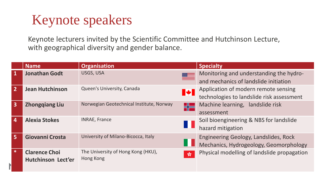### Keynote speakers

Keynote lecturers invited by the Scientific Committee and Hutchinson Lecture, with geographical diversity and gender balance.

|                         | <b>Name</b>                                       | <b>Organisation</b>                                                      | <b>Specialty</b>                                                                  |
|-------------------------|---------------------------------------------------|--------------------------------------------------------------------------|-----------------------------------------------------------------------------------|
| -1                      | <b>Jonathan Godt</b>                              | USGS, USA                                                                | Monitoring and understanding the hydro-<br>and mechanics of landslide initiation  |
| $\overline{2}$          | <b>Jean Hutchinson</b>                            | Queen's University, Canada<br><b>IV</b>                                  | Application of modern remote sensing<br>technologies to landslide risk assessment |
| $\overline{\mathbf{3}}$ | <b>Zhongqiang Liu</b>                             | Norwegian Geotechnical Institute, Norway<br>H2                           | Machine learning, landslide risk<br>assessment                                    |
| $\overline{4}$          | <b>Alexia Stokes</b>                              | <b>INRAE, France</b><br>H H                                              | Soil bioengineering & NBS for landslide<br>hazard mitigation                      |
| 5                       | Giovanni Crosta                                   | University of Milano-Bicocca, Italy                                      | Engineering Geology, Landslides, Rock<br>Mechanics, Hydrogeology, Geomorphology   |
| $\ast$                  | <b>Clarence Choi</b><br><b>Hutchinson Lect'er</b> | The University of Hong Kong (HKU),<br>$\frac{\sqrt{3}}{20}$<br>Hong Kong | Physical modelling of landslide propagation                                       |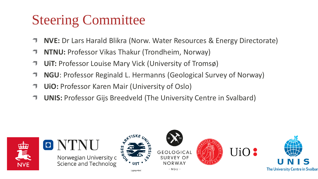## Steering Committee

- **NVE:** Dr Lars Harald Blikra (Norw. Water Resources & Energy Directorate)
- **NTNU:** Professor Vikas Thakur (Trondheim, Norway)
- **UiT:** Professor Louise Mary Vick (University of Tromsø)
- **NGU**: Professor Reginald L. Hermanns (Geological Survey of Norway)
- **UiO:** Professor Karen Mair (University of Oslo)
- **UNIS:** Professor Gijs Breedveld (The University Centre in Svalbard)